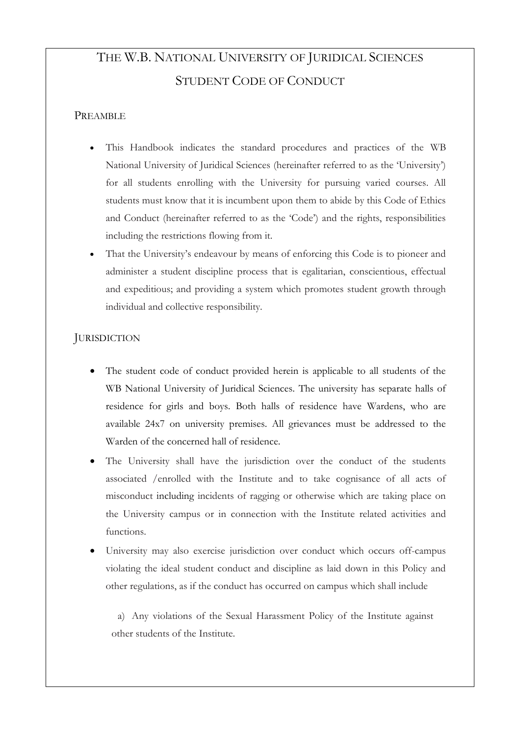# THE W.B. NATIONAL UNIVERSITY OF JURIDICAL SCIENCES STUDENT CODE OF CONDUCT

## PREAMBLE

- This Handbook indicates the standard procedures and practices of the WB National University of Juridical Sciences (hereinafter referred to as the 'University') for all students enrolling with the University for pursuing varied courses. All students must know that it is incumbent upon them to abide by this Code of Ethics and Conduct (hereinafter referred to as the 'Code') and the rights, responsibilities including the restrictions flowing from it.
- That the University's endeavour by means of enforcing this Code is to pioneer and administer a student discipline process that is egalitarian, conscientious, effectual and expeditious; and providing a system which promotes student growth through individual and collective responsibility.

## **JURISDICTION**

- The student code of conduct provided herein is applicable to all students of the WB National University of Juridical Sciences. The university has separate halls of residence for girls and boys. Both halls of residence have Wardens, who are available 24x7 on university premises. All grievances must be addressed to the Warden of the concerned hall of residence.
- The University shall have the jurisdiction over the conduct of the students associated /enrolled with the Institute and to take cognisance of all acts of misconduct including incidents of ragging or otherwise which are taking place on the University campus or in connection with the Institute related activities and functions.
- University may also exercise jurisdiction over conduct which occurs off-campus violating the ideal student conduct and discipline as laid down in this Policy and other regulations, as if the conduct has occurred on campus which shall include

a) Any violations of the Sexual Harassment Policy of the Institute against other students of the Institute.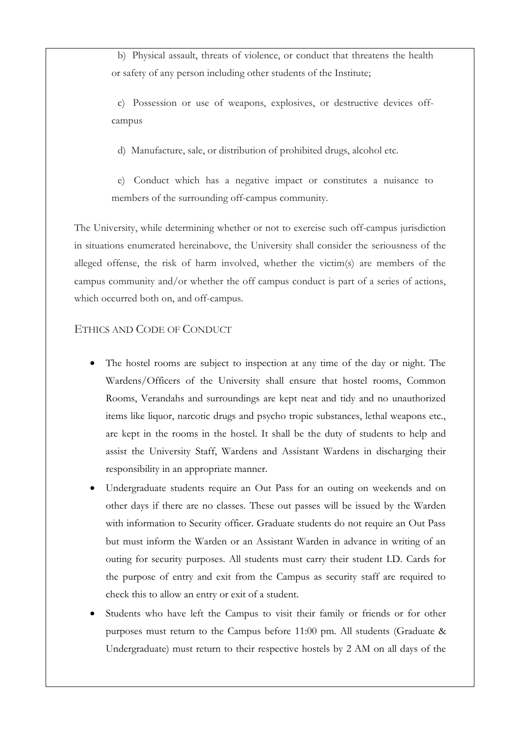b) Physical assault, threats of violence, or conduct that threatens the health or safety of any person including other students of the Institute;

c) Possession or use of weapons, explosives, or destructive devices offcampus

d) Manufacture, sale, or distribution of prohibited drugs, alcohol etc.

e) Conduct which has a negative impact or constitutes a nuisance to members of the surrounding off-campus community.

The University, while determining whether or not to exercise such off-campus jurisdiction in situations enumerated hereinabove, the University shall consider the seriousness of the alleged offense, the risk of harm involved, whether the victim(s) are members of the campus community and/or whether the off campus conduct is part of a series of actions, which occurred both on, and off-campus.

### ETHICS AND CODE OF CONDUCT

- The hostel rooms are subject to inspection at any time of the day or night. The Wardens/Officers of the University shall ensure that hostel rooms, Common Rooms, Verandahs and surroundings are kept neat and tidy and no unauthorized items like liquor, narcotic drugs and psycho tropic substances, lethal weapons etc., are kept in the rooms in the hostel. It shall be the duty of students to help and assist the University Staff, Wardens and Assistant Wardens in discharging their responsibility in an appropriate manner.
- Undergraduate students require an Out Pass for an outing on weekends and on other days if there are no classes. These out passes will be issued by the Warden with information to Security officer. Graduate students do not require an Out Pass but must inform the Warden or an Assistant Warden in advance in writing of an outing for security purposes. All students must carry their student I.D. Cards for the purpose of entry and exit from the Campus as security staff are required to check this to allow an entry or exit of a student.
- Students who have left the Campus to visit their family or friends or for other purposes must return to the Campus before 11:00 pm. All students (Graduate & Undergraduate) must return to their respective hostels by 2 AM on all days of the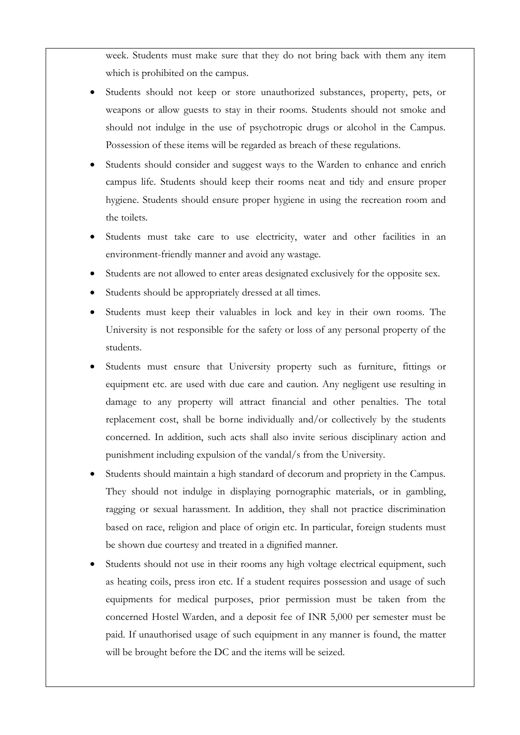week. Students must make sure that they do not bring back with them any item which is prohibited on the campus.

- Students should not keep or store unauthorized substances, property, pets, or weapons or allow guests to stay in their rooms. Students should not smoke and should not indulge in the use of psychotropic drugs or alcohol in the Campus. Possession of these items will be regarded as breach of these regulations.
- Students should consider and suggest ways to the Warden to enhance and enrich campus life. Students should keep their rooms neat and tidy and ensure proper hygiene. Students should ensure proper hygiene in using the recreation room and the toilets.
- Students must take care to use electricity, water and other facilities in an environment-friendly manner and avoid any wastage.
- Students are not allowed to enter areas designated exclusively for the opposite sex.
- Students should be appropriately dressed at all times.
- Students must keep their valuables in lock and key in their own rooms. The University is not responsible for the safety or loss of any personal property of the students.
- Students must ensure that University property such as furniture, fittings or equipment etc. are used with due care and caution. Any negligent use resulting in damage to any property will attract financial and other penalties. The total replacement cost, shall be borne individually and/or collectively by the students concerned. In addition, such acts shall also invite serious disciplinary action and punishment including expulsion of the vandal/s from the University.
- Students should maintain a high standard of decorum and propriety in the Campus. They should not indulge in displaying pornographic materials, or in gambling, ragging or sexual harassment. In addition, they shall not practice discrimination based on race, religion and place of origin etc. In particular, foreign students must be shown due courtesy and treated in a dignified manner.
- Students should not use in their rooms any high voltage electrical equipment, such as heating coils, press iron etc. If a student requires possession and usage of such equipments for medical purposes, prior permission must be taken from the concerned Hostel Warden, and a deposit fee of INR 5,000 per semester must be paid. If unauthorised usage of such equipment in any manner is found, the matter will be brought before the DC and the items will be seized.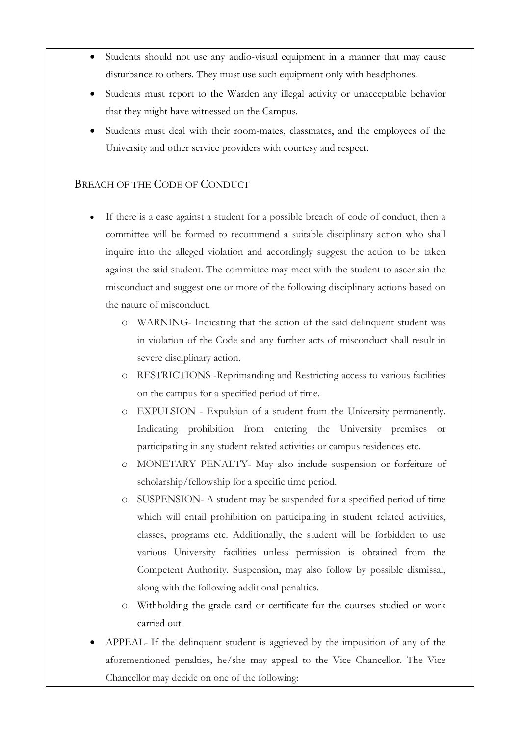- Students should not use any audio-visual equipment in a manner that may cause disturbance to others. They must use such equipment only with headphones.
- Students must report to the Warden any illegal activity or unacceptable behavior that they might have witnessed on the Campus.
- Students must deal with their room-mates, classmates, and the employees of the University and other service providers with courtesy and respect.

### BREACH OF THE CODE OF CONDUCT

- If there is a case against a student for a possible breach of code of conduct, then a committee will be formed to recommend a suitable disciplinary action who shall inquire into the alleged violation and accordingly suggest the action to be taken against the said student. The committee may meet with the student to ascertain the misconduct and suggest one or more of the following disciplinary actions based on the nature of misconduct.
	- o WARNING- Indicating that the action of the said delinquent student was in violation of the Code and any further acts of misconduct shall result in severe disciplinary action.
	- o RESTRICTIONS -Reprimanding and Restricting access to various facilities on the campus for a specified period of time.
	- o EXPULSION Expulsion of a student from the University permanently. Indicating prohibition from entering the University premises or participating in any student related activities or campus residences etc.
	- o MONETARY PENALTY- May also include suspension or forfeiture of scholarship/fellowship for a specific time period.
	- o SUSPENSION- A student may be suspended for a specified period of time which will entail prohibition on participating in student related activities, classes, programs etc. Additionally, the student will be forbidden to use various University facilities unless permission is obtained from the Competent Authority. Suspension, may also follow by possible dismissal, along with the following additional penalties.
	- o Withholding the grade card or certificate for the courses studied or work carried out.
- APPEAL- If the delinquent student is aggrieved by the imposition of any of the aforementioned penalties, he/she may appeal to the Vice Chancellor. The Vice Chancellor may decide on one of the following: